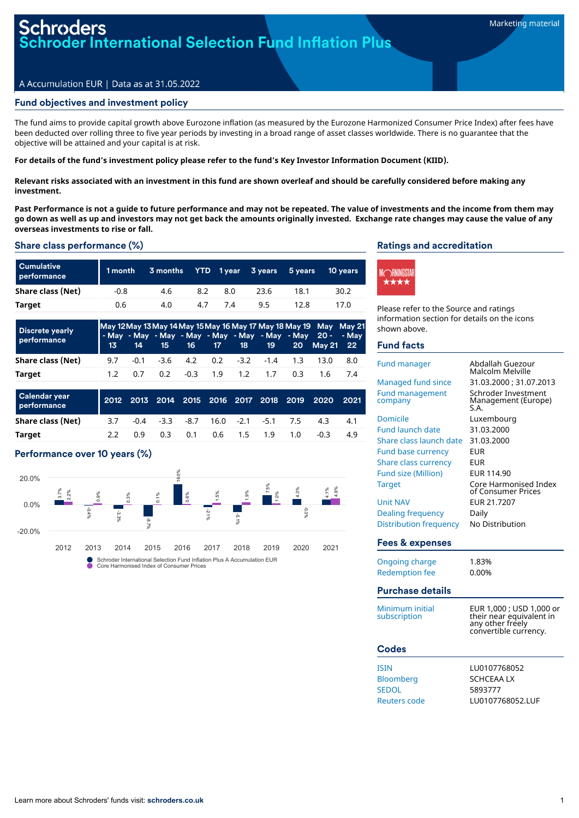# **Ler International Selection Fund Inflation Plus**

#### A Accumulation EUR | Data as at 31.05.2022

# Fund objectives and investment policy

The fund aims to provide capital growth above Eurozone inflation (as measured by the Eurozone Harmonized Consumer Price Index) after fees have been deducted over rolling three to five year periods by investing in a broad range of asset classes worldwide. There is no guarantee that the objective will be attained and your capital is at risk.

For details of the fund's investment policy please refer to the fund's Key Investor Information Document (KIID).

Relevant risks associated with an investment in this fund are shown overleaf and should be carefully considered before making any **investment.**

Past Performance is not a guide to future performance and may not be repeated. The value of investments and the income from them may go down as well as up and investors may not get back the amounts originally invested. Exchange rate changes may cause the value of any **overseas investments to rise or fall.**

#### Share class performance (%)

| <b>Cumulative</b><br>performance | $1$ month $^\prime$ | $3$ months $\overline{\phantom{a}}$ |     |     | YTD 1year 3years | 5 years | <b>10 years</b> |
|----------------------------------|---------------------|-------------------------------------|-----|-----|------------------|---------|-----------------|
| Share class (Net)                | $-0.8$              | 4.6                                 | 8.2 | 8.0 | 23.6             | 18.1    | 30.2            |
| Target                           | 0.6                 | 4.0                                 | 4.7 |     | 9.5              | 12.8    | 17.0            |

| <b>Discrete yearly</b><br>performance | 13               | 14     | 15     | 16     | 17 <sup>2</sup>     | 18     | - May - May - May - May - May - May - May - May 20 -<br>19 | 20   | May 12 May 13 May 14 May 15 May 16 May 17 May 18 May 19 May May 21<br><b>May 21</b> | - Mav<br>22 <sub>2</sub> |
|---------------------------------------|------------------|--------|--------|--------|---------------------|--------|------------------------------------------------------------|------|-------------------------------------------------------------------------------------|--------------------------|
| Share class (Net)                     | 9.7              | $-0.1$ | $-3.6$ | 4.2    | 0.2                 | $-3.2$ | $-1.4$                                                     | 1.3  | 13.0                                                                                | 8.0                      |
| Target                                | 1.2 <sub>2</sub> | 0.7    | 0.2    | $-0.3$ | 1.9                 | 1.2    | 1.7                                                        | 0.3  | 1.6                                                                                 | 7.4                      |
| Calendar year<br>performance          | 2012             | 2013   | 2014   |        | 2015 2016 2017 2018 |        |                                                            | 2019 | 2020                                                                                | 2021                     |
| Share class (Net)                     | 3.7              | $-0.4$ | $-3.3$ | $-8.7$ | 16.0                | $-2.1$ | $-5.1$                                                     | 7.5  | 4.3                                                                                 | 4.1                      |

**Target** 2.2 0.9 0.3 0.1 0.6 1.5 1.9 1.0 -0.3 4.9

# Performance over 10 years (%)



Core Harmonised Index of Consumer Prices

# Ratings and accreditation



Please refer to the Source and ratings information section for details on the icons shown above.

#### Fund facts

| <b>Fund manager</b>               | Abdallah Guezour<br>Malcolm Melville                                                              |
|-----------------------------------|---------------------------------------------------------------------------------------------------|
| Managed fund since                | 31.03.2000 ; 31.07.2013                                                                           |
| <b>Fund management</b><br>company | Schroder Investment<br>Management (Europe)<br>S.A.                                                |
| <b>Domicile</b>                   | Luxembourg                                                                                        |
| <b>Fund launch date</b>           | 31.03.2000                                                                                        |
| Share class launch date           | 31.03.2000                                                                                        |
| <b>Fund base currency</b>         | <b>EUR</b>                                                                                        |
| Share class currency              | <b>EUR</b>                                                                                        |
| <b>Fund size (Million)</b>        | EUR 114.90                                                                                        |
| <b>Target</b>                     | Core Harmonised Index<br>of Consumer Prices                                                       |
| <b>Unit NAV</b>                   | EUR 21.7207                                                                                       |
| <b>Dealing frequency</b>          | Daily                                                                                             |
| <b>Distribution frequency</b>     | No Distribution                                                                                   |
|                                   |                                                                                                   |
| Fees & expenses                   |                                                                                                   |
| <b>Ongoing charge</b>             | 1.83%                                                                                             |
| <b>Redemption fee</b>             | 0.00%                                                                                             |
| <b>Purchase details</b>           |                                                                                                   |
| Minimum initial<br>subscription   | EUR 1,000 ; USD 1,000 or<br>their near equivalent in<br>any other freely<br>convertible currency. |
| <b>Codes</b>                      |                                                                                                   |
| <b>ISIN</b>                       | LU0107768052                                                                                      |
| Bloomberg                         | <b>SCHCEAALX</b>                                                                                  |
| <b>SEDOL</b>                      | 5893777                                                                                           |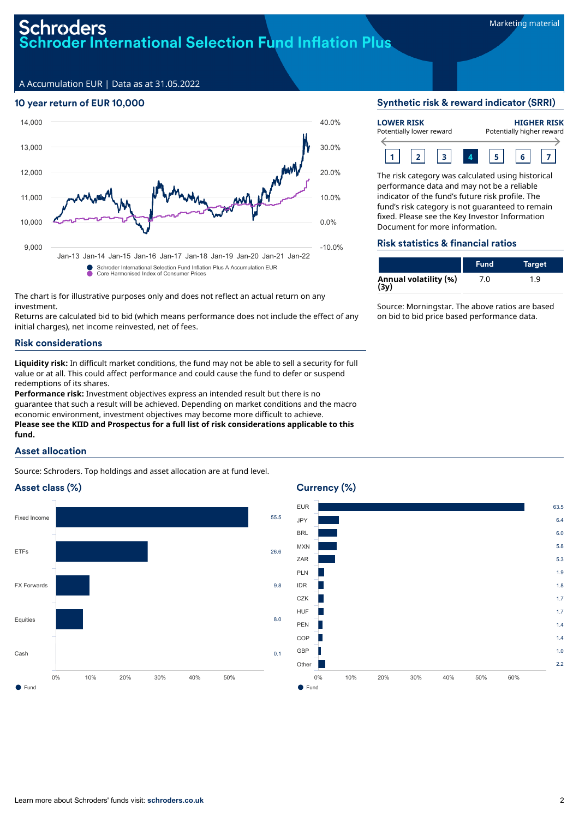# Schroders **nvactly**<br>roder International Selection Fund Inflation Plus

A Accumulation EUR | Data as at 31.05.2022

# 10 year return of EUR 10,000



The chart is for illustrative purposes only and does not reflect an actual return on any investment.

Returns are calculated bid to bid (which means performance does not include the effect of any initial charges), net income reinvested, net of fees.

# Risk considerations

**Liquidity risk:** In difficult market conditions, the fund may not be able to sell a security for full value or at all. This could affect performance and could cause the fund to defer or suspend redemptions of its shares.

**Performance risk:** Investment objectives express an intended result but there is no guarantee that such a result will be achieved. Depending on market conditions and the macro economic environment, investment objectives may become more difficult to achieve. **Please see the KIID and Prospectus for a full list of risk considerations applicable to this fund.**

# Asset allocation

Source: Schroders. Top holdings and asset allocation are at fund level.

# Asset class (%)



# Currency (%)



#### Synthetic risk & reward indicator (SRRI)

| <b>LOWER RISK</b>        |  |  |  | <b>HIGHER RISK</b>        |  |  |  |
|--------------------------|--|--|--|---------------------------|--|--|--|
| Potentially lower reward |  |  |  | Potentially higher reward |  |  |  |
|                          |  |  |  |                           |  |  |  |

The risk category was calculated using historical performance data and may not be a reliable indicator of the fund's future risk profile. The fund's risk category is not guaranteed to remain fixed. Please see the Key Investor Information Document for more information.

#### Risk statistics & financial ratios

|                               | <b>Fund</b> | <b>Target</b> |
|-------------------------------|-------------|---------------|
| Annual volatility (%)<br>(3y) | 7.0         | 1.9           |

Source: Morningstar. The above ratios are based on bid to bid price based performance data.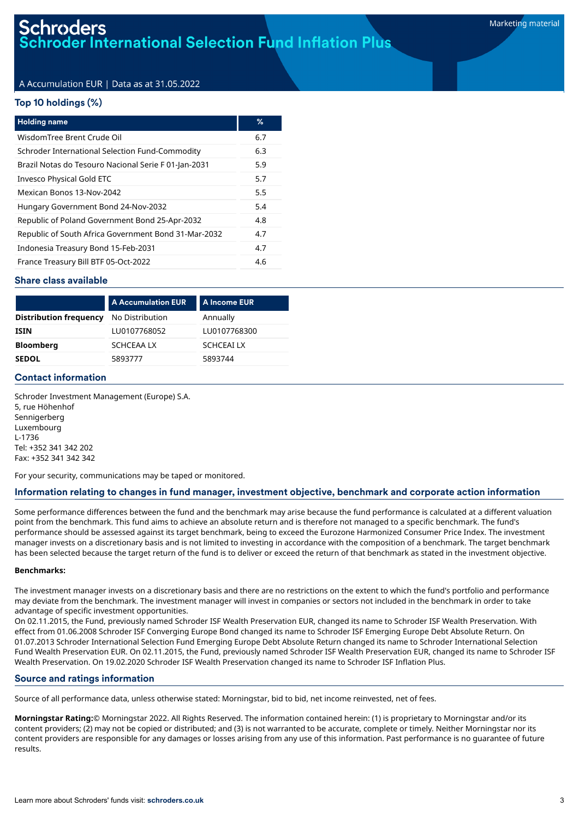# A Accumulation EUR | Data as at 31.05.2022

#### Top 10 holdings (%)

| <b>Holding name</b>                                  | %   |
|------------------------------------------------------|-----|
| WisdomTree Brent Crude Oil                           | 6.7 |
| Schroder International Selection Fund-Commodity      | 6.3 |
| Brazil Notas do Tesouro Nacional Serie F 01-Jan-2031 | 5.9 |
| Invesco Physical Gold ETC                            | 5.7 |
| Mexican Bonos 13-Nov-2042                            | 5.5 |
| Hungary Government Bond 24-Nov-2032                  | 5.4 |
| Republic of Poland Government Bond 25-Apr-2032       | 4.8 |
| Republic of South Africa Government Bond 31-Mar-2032 | 4.7 |
| Indonesia Treasury Bond 15-Feb-2031                  | 4.7 |
| France Treasury Bill BTF 05-Oct-2022                 | 4.6 |

#### Share class available

| <b>Distribution frequency</b><br>Annually<br>No Distribution |  |
|--------------------------------------------------------------|--|
|                                                              |  |
| LU0107768052<br>LU0107768300<br><b>ISIN</b>                  |  |
| <b>Bloomberg</b><br><b>SCHCEAILX</b><br>SCHCEAA LX           |  |
| 5893777<br><b>SEDOL</b><br>5893744                           |  |

### Contact information

Schroder Investment Management (Europe) S.A. 5, rue Höhenhof Sennigerberg Luxembourg L-1736 Tel: +352 341 342 202 Fax: +352 341 342 342

For your security, communications may be taped or monitored.

#### Information relating to changes in fund manager, investment objective, benchmark and corporate action information

Some performance differences between the fund and the benchmark may arise because the fund performance is calculated at a different valuation point from the benchmark. This fund aims to achieve an absolute return and is therefore not managed to a specific benchmark. The fund's performance should be assessed against its target benchmark, being to exceed the Eurozone Harmonized Consumer Price Index. The investment manager invests on a discretionary basis and is not limited to investing in accordance with the composition of a benchmark. The target benchmark has been selected because the target return of the fund is to deliver or exceed the return of that benchmark as stated in the investment objective.

#### **Benchmarks:**

The investment manager invests on a discretionary basis and there are no restrictions on the extent to which the fund's portfolio and performance may deviate from the benchmark. The investment manager will invest in companies or sectors not included in the benchmark in order to take advantage of specific investment opportunities.

On 02.11.2015, the Fund, previously named Schroder ISF Wealth Preservation EUR, changed its name to Schroder ISF Wealth Preservation. With effect from 01.06.2008 Schroder ISF Converging Europe Bond changed its name to Schroder ISF Emerging Europe Debt Absolute Return. On 01.07.2013 Schroder International Selection Fund Emerging Europe Debt Absolute Return changed its name to Schroder International Selection Fund Wealth Preservation EUR. On 02.11.2015, the Fund, previously named Schroder ISF Wealth Preservation EUR, changed its name to Schroder ISF Wealth Preservation. On 19.02.2020 Schroder ISF Wealth Preservation changed its name to Schroder ISF Inflation Plus.

#### Source and ratings information

Source of all performance data, unless otherwise stated: Morningstar, bid to bid, net income reinvested, net of fees.

**Morningstar Rating:**© Morningstar 2022. All Rights Reserved. The information contained herein: (1) is proprietary to Morningstar and/or its content providers; (2) may not be copied or distributed; and (3) is not warranted to be accurate, complete or timely. Neither Morningstar nor its content providers are responsible for any damages or losses arising from any use of this information. Past performance is no guarantee of future results.